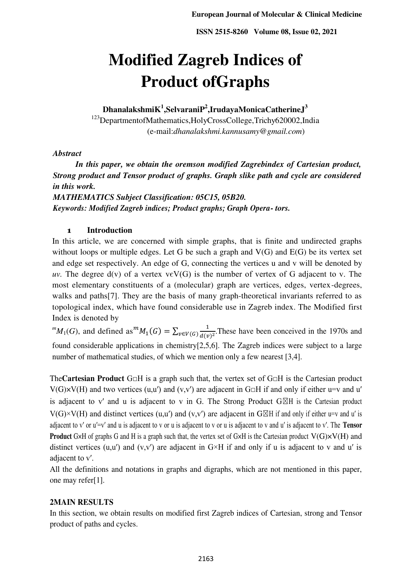# **Modified Zagreb Indices of Product ofGraphs**

 $D$ hanalakshmi $K^1$ ,Selvarani $P^2$ ,IrudayaMonicaCatherineJ<sup>3</sup>

<sup>123</sup>DepartmentofMathematics,HolyCrossCollege,Trichy620002,India (e-mail:*dhanalakshmi.kannusamy*@*gmail.com*)

# *Abstract*

*In this paper, we obtain the oremson modified Zagrebindex of Cartesian product, Strong product and Tensor product of graphs. Graph slike path and cycle are considered in this work.* 

*MATHEMATICS Subject Classification: 05C15, 05B20. Keywords: Modified Zagreb indices; Product graphs; Graph Opera- tors.* 

# **1 Introduction**

In this article, we are concerned with simple graphs, that is finite and undirected graphs without loops or multiple edges. Let G be such a graph and  $V(G)$  and  $E(G)$  be its vertex set and edge set respectively. An edge of G, connecting the vertices u and v will be denoted by *uv.* The degree  $d(v)$  of a vertex  $v \in V(G)$  is the number of vertex of G adjacent to v. The most elementary constituents of a (molecular) graph are vertices, edges, vertex-degrees, walks and paths[7]. They are the basis of many graph-theoretical invariants referred to as topological index, which have found considerable use in Zagreb index. The Modified first Index is denoted by

 ${}^mM_1(G)$ , and defined as  ${}^mM_1(G) = \sum_{v \in V(G)} \frac{1}{d(v)}$  $v \in V(G)$   $\frac{1}{d(v)^2}$ . These have been conceived in the 1970s and found considerable applications in chemistry[2,5,6]. The Zagreb indices were subject to a large number of mathematical studies, of which we mention only a few nearest [3,4].

The**Cartesian Product** G□H is a graph such that, the vertex set of G□H is the Cartesian product  $V(G)\times V(H)$  and two vertices (u,u') and (v,v') are adjacent in G $\Box H$  if and only if either u=v and u' is adjacent to v' and u is adjacent to v in G. The Strong Product  $G \boxtimes H$  is the Cartesian product  $V(G)\times V(H)$  and distinct vertices (u,u') and (v,v') are adjacent in G $\boxtimes$ H if and only if either u=v and u' is adjacent to v′ or u′=v′ and u is adjacent to v or u is adjacent to v or u is adjacent to v and u′ is adjacent to v′. The **Tensor Product** G×H of graphs G and H is a graph such that, the vertex set of G×H is the Cartesian product  $V(G) \times V(H)$  and distinct vertices (u,u') and (v,v') are adjacent in  $G \times H$  if and only if u is adjacent to v and u' is adjacent to v′.

All the definitions and notations in graphs and digraphs, which are not mentioned in this paper, one may refer[1].

# **2MAIN RESULTS**

In this section, we obtain results on modified first Zagreb indices of Cartesian, strong and Tensor product of paths and cycles.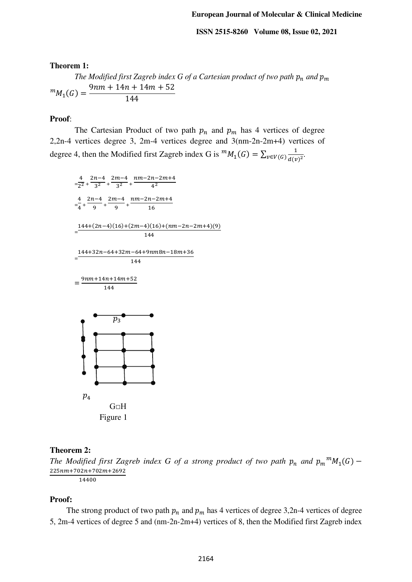**Theorem 1:** 

*The Modified first Zagreb index G of a Cartesian product of two path*  $p_n$  *and*  $p_m$  ${}^m M_1(G) = \frac{9nm + 14n + 14m + 52}{144}$ 144

## **Proof**:

The Cartesian Product of two path  $p_n$  and  $p_m$  has 4 vertices of degree 2,2n-4 vertices degree 3, 2m-4 vertices degree and 3(nm-2n-2m+4) vertices of degree 4, then the Modified first Zagreb index G is  ${}^mM_1(G) = \sum_{v \in V(G)} \frac{1}{d(v)}$  $v \in V(G) \frac{1}{d(v)^2}$ .



#### **Theorem 2:**

*The Modified first Zagreb index G of a strong product of two path*  $p_n$  *and*  $p_m^m M_1(G)$  *–*  $225nm+702n+702m+2692$ 

14400

## **Proof:**

The strong product of two path  $p_n$  and  $p_m$  has 4 vertices of degree 3,2n-4 vertices of degree 5, 2m-4 vertices of degree 5 and (nm-2n-2m+4) vertices of 8, then the Modified first Zagreb index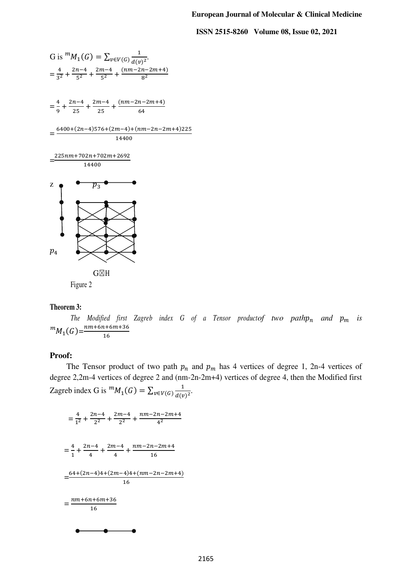

## **Theorem 3:**

*The Modified first Zagreb index G of a Tensor productof two path* $p_n$  *and*  $p_m$  *is*  ${}^mM_1(G)=\frac{n m+6 n+6 m+36}{16}$ 16

## **Proof:**

The Tensor product of two path  $p_n$  and  $p_m$  has 4 vertices of degree 1, 2n-4 vertices of degree 2,2m-4 vertices of degree 2 and (nm-2n-2m+4) vertices of degree 4, then the Modified first Zagreb index G is  ${}^m M_1(G) = \sum_{v \in V(G)} \frac{1}{d(v)}$  $v \in V(G) \frac{1}{d(v)^2}$ .

$$
= \frac{4}{1^2} + \frac{2n-4}{2^2} + \frac{2m-4}{2^2} + \frac{nm-2n-2m+4}{4^2}
$$

$$
= \frac{4}{1} + \frac{2n-4}{4} + \frac{2m-4}{4} + \frac{nm-2n-2m+4}{16}
$$

$$
= \frac{64+(2n-4)4+(2m-4)4+(nm-2n-2m+4)}{16}
$$

$$
= \frac{nm+6n+6m+36}{16}
$$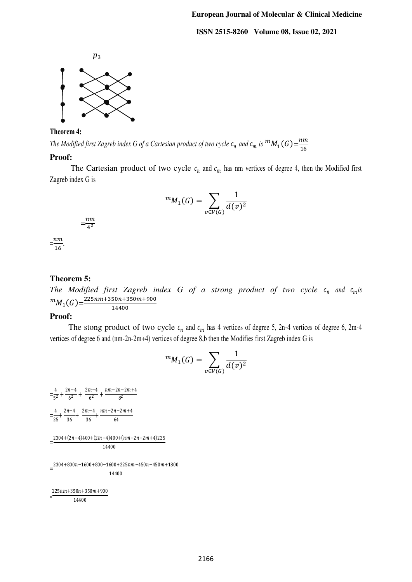

#### **Theorem 4:**

*The Modified first Zagreb index G of a Cartesian product of two cycle*  $c_n$  *and*  $c_m$  *is*  ${}^mM_1(G) = \frac{nm}{16}$ 16

#### **Proof:**

The Cartesian product of two cycle  $c_n$  and  $c_m$  has nm vertices of degree 4, then the Modified first Zagreb index G is

$$
{}^m M_1(G) = \sum_{v \in V(G)} \frac{1}{d(v)^2}
$$

$$
= \frac{nm}{4^2}
$$

 $\frac{nm}{46}$  $\frac{16}{16}$ 

#### **Theorem 5:**

*The Modified first Zagreb index G of a strong product of two cycle*  $c_n$  *and*  $c_m$ *is*  ${}^m M_1(G) = \frac{225nm+350n+350m+900}{14400}$ 14400

#### **Proof:**

The stong product of two cycle  $c_n$  and  $c_m$  has 4 vertices of degree 5, 2n-4 vertices of degree 6, 2m-4 vertices of degree 6 and (nm-2n-2m+4) vertices of degree 8,b then the Modifies first Zagreb index G is

$$
{}^m M_1(G) = \sum_{v \in V(G)} \frac{1}{d(v)^2}
$$

 $=\frac{4}{52}$  $rac{4}{5^2} + \frac{2n-4}{6^2}$  $rac{m-4}{6^2} + \frac{2m-4}{6^2}$  $\frac{n-4}{6^2} + \frac{n m - 2n - 2m + 4}{8^2}$ 8 2  $=\frac{4}{35}$  $\frac{4}{25} + \frac{2n-4}{36}$  $\frac{n-4}{36}$  +  $\frac{2m-4}{36}$  $\frac{n-4}{36}$  +  $\frac{n(n-2n-2m+4)}{64}$ 64  $=\frac{2304+(2n-4)400+(2m-4)400+(nm-2n-2m+4)225}{44488}$ 14400  $=\frac{2304+800n-1600+800-1600+225nm-450n-450m+1800}{44488}$ 14400

=  $225nm+350n+350m+900$ 14400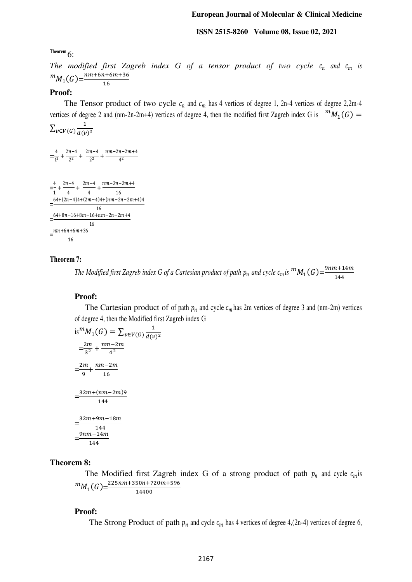#### **European Journal of Molecular & Clinical Medicine**

#### **ISSN 2515-8260 Volume 08, Issue 02, 2021**

**Theorem** 6:

*The modified first Zagreb index G of a tensor product of two cycle*  $c_n$  *and*  $c_m$  *is*  ${}^mM_1(G)=\frac{n m+6 n+6 m+36}{16}$ 

#### **Proof:**

The Tensor product of two cycle  $c_n$  and  $c_m$  has 4 vertices of degree 1, 2n-4 vertices of degree 2,2m-4 vertices of degree 2 and (nm-2n-2m+4) vertices of degree 4, then the modified first Zagreb index G is  ${}^{m}M_1(G)$  = ∑ 1

$$
\Sigma_{v \in V(G)} \frac{1}{d(v)^2}
$$

 $=\frac{4}{12}$  $rac{4}{1^2} + \frac{2n-4}{2^2}$  $rac{n-4}{2^2} + \frac{2m-4}{2^2}$  $\frac{n-4}{2^2} + \frac{n m - 2n - 2m + 4}{4^2}$  $4<sup>2</sup>$ 

16

 $=\frac{4}{4}$  $\frac{4}{1} + \frac{2n-4}{4}$  $\frac{1-4}{4} + \frac{2m-4}{4}$  $\frac{n-4}{4} + \frac{n m - 2n - 2m + 4}{16}$ 16  $=\frac{64+(2n-4)4+(2m-4)4+(nm-2n-2m+4)4}{4}$ 16  $=\frac{64+8n-16+8m-16+n}{6}$ 16  $\frac{nm+6n+6m+36}{46}$ 16

#### **Theorem 7:**

*The Modified first Zagreb index G of a Cartesian product of path*  $p_n$  *and cycle*  $c_m$  *is*  ${}^mM_1(G)=\frac{9nm+14m}{144}$ 144

#### **Proof:**

The Cartesian product of of path  $p_n$  and cycle  $c_m$  has 2m vertices of degree 3 and (nm-2m) vertices of degree 4, then the Modified first Zagreb index G

is 
$$
{}^m M_1(G) = \sum_{v \in V(G)} \frac{1}{d(v)^2}
$$
  
\n
$$
= \frac{2m}{3^2} + \frac{nm - 2m}{4^2}
$$
\n
$$
= \frac{2m}{9} + \frac{nm - 2m}{16}
$$
\n
$$
= \frac{32m + (nm - 2m)9}{144}
$$
\n
$$
= \frac{32m + 9m - 18m}{144}
$$
\n
$$
= \frac{9nm - 14m}{144}
$$

#### **Theorem 8:**

The Modified first Zagreb index G of a strong product of path  $p_n$  and cycle  $c_m$  is  $^{m}M_{1}(G) = \frac{225nm+350n+720m+596}{14400}$ 

$$
14400
$$

#### **Proof:**

The Strong Product of path  $p_n$  and cycle  $c_m$  has 4 vertices of degree 4,(2n-4) vertices of degree 6,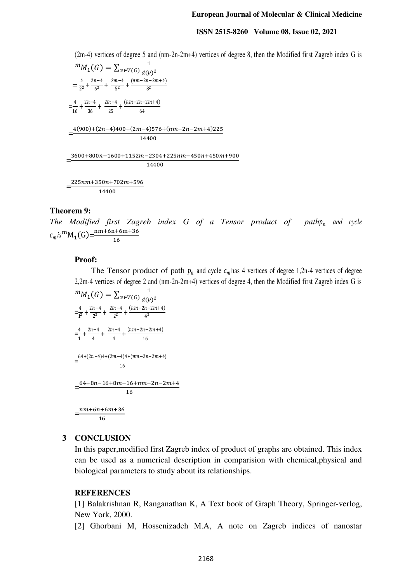#### **European Journal of Molecular & Clinical Medicine**

#### **ISSN 2515-8260 Volume 08, Issue 02, 2021**

(2m-4) vertices of degree 5 and (nm-2n-2m+4) vertices of degree 8, then the Modified first Zagreb index G is

 ${}^m M_1(G) = \sum_{v \in V(G)} \frac{1}{d(v)}$  $v \in V(G)$   $d(v)^2$  $=\frac{4}{2^2}$  $rac{4}{2^2} + \frac{2n-4}{6^2}$  $\frac{n-4}{6^2} + \frac{2m-4}{5^2}$  $\frac{n-4}{5^2} + \frac{(nm-2n-2m+4)}{8^2}$ 8 2  $=\frac{4}{16}$  $\frac{4}{16} + \frac{2n-4}{36}$  $rac{n-4}{36} + \frac{2m-4}{25}$  $\frac{n-4}{25} + \frac{(nm-2n-2m+4)}{64}$ 64  $=$  $4(900)+(2n-4)400+(2m-4)576+(nm-2n-2m+4)225$ 14400  $=$ 3600+800n−1600+1152m−2304+225nm−450n+450m+900 14400  $=$  $225nm+350n+702m+596$ 

14400

# **Theorem 9:**

*The Modified first Zagreb index G of a Tensor product of path* $p_n$  and cycle  $c_m i s^m M_1(G) = \frac{n m + 6 n + 6 m + 36}{16}$ 16

#### **Proof:**

The Tensor product of path  $p_n$  and cycle  $c_m$  has 4 vertices of degree 1,2n-4 vertices of degree 2,2m-4 vertices of degree 2 and (nm-2n-2m+4) vertices of degree 4, then the Modified first Zagreb index G is

$$
{}^{m}M_{1}(G) = \sum_{v \in V(G)} \frac{1}{d(v)^{2}}
$$
  
\n
$$
= \frac{4}{1^{2}} + \frac{2n-4}{2^{2}} + \frac{2m-4}{2^{2}} + \frac{(nm-2n-2m+4)}{4^{2}}
$$
  
\n
$$
= \frac{4}{1} + \frac{2n-4}{4} + \frac{2m-4}{4} + \frac{(nm-2n-2m+4)}{16}
$$
  
\n
$$
= \frac{64+(2n-4)4+(2m-4)4+(nm-2n-2m+4)}{16}
$$
  
\n
$$
= \frac{64+8n-16+8m-16+nm-2n-2m+4}{16}
$$
  
\n
$$
= \frac{nm+6n+6m+36}{16}
$$

#### **3 CONCLUSION**

In this paper,modified first Zagreb index of product of graphs are obtained. This index can be used as a numerical description in comparision with chemical,physical and biological parameters to study about its relationships.

#### **REFERENCES**

[1] Balakrishnan R, Ranganathan K, A Text book of Graph Theory, Springer-verlog, New York, 2000.

[2] Ghorbani M, Hossenizadeh M.A, A note on Zagreb indices of nanostar